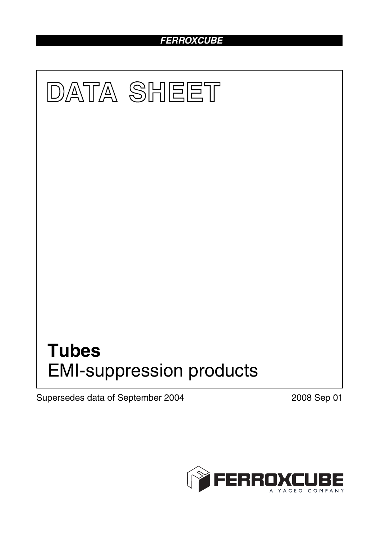## *FERROXCUBE*



Supersedes data of September 2004 2008 Sep 01

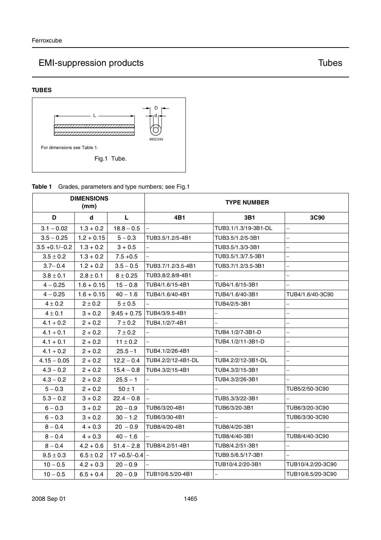# EMI-suppression products and the state of the Tubes of Tubes





**Table 1** Grades, parameters and type numbers; see Fig.1

| <b>DIMENSIONS</b><br>(mm) |               |                 | <b>TYPE NUMBER</b>       |                      |                          |
|---------------------------|---------------|-----------------|--------------------------|----------------------|--------------------------|
| D                         | d             | L               | 4B1                      | 3B1                  | 3C90                     |
| $3.1 - 0.02$              | $1.3 + 0.2$   | $18.8 - 0.5$    |                          | TUB3.1/1.3/19-3B1-DL | $\equiv$                 |
| $3.5 - 0.25$              | $1.2 + 0.15$  | $5 - 0.3$       | TUB3.5/1.2/5-4B1         | TUB3.5/1.2/5-3B1     | $\equiv$                 |
| $3.5 + 0.1/-0.2$          | $1.3 + 0.2$   | $3 + 0.5$       |                          | TUB3.5/1.3/3-3B1     | $\equiv$                 |
| $3.5 \pm 0.2$             | $1.3 + 0.2$   | $7.5 + 0.5$     | $\overline{a}$           | TUB3.5/1.3/7.5-3B1   | $\overline{a}$           |
| $3.7 - 0.4$               | $1.2 + 0.2$   | $3.5 - 0.5$     | TUB3.7/1.2/3.5-4B1       | TUB3.7/1.2/3.5-3B1   | $\overline{\phantom{0}}$ |
| $3.8 \pm 0.1$             | $2.8 \pm 0.1$ | $8 \pm 0.25$    | TUB3.8/2.8/8-4B1         |                      |                          |
| $4 - 0.25$                | $1.6 + 0.15$  | $15 - 0.8$      | TUB4/1.6/15-4B1          | TUB4/1.6/15-3B1      |                          |
| $4 - 0.25$                | $1.6 + 0.15$  | $40 - 1.6$      | TUB4/1.6/40-4B1          | TUB4/1.6/40-3B1      | TUB4/1.6/40-3C90         |
| $4 \pm 0.2$               | $2 \pm 0.2$   | $5 \pm 0.5$     |                          | TUB4/2/5-3B1         | $\equiv$                 |
| $4 \pm 0.1$               | $3 + 0.2$     | $9.45 + 0.75$   | TUB4/3/9.5-4B1           |                      | $\overline{a}$           |
| $4.1 + 0.2$               | $2 + 0.2$     | $7 \pm 0.2$     | TUB4.1/2/7-4B1           |                      | $\equiv$                 |
| $4.1 + 0.1$               | $2 + 0.2$     | $7 \pm 0.2$     |                          | TUB4.1/2/7-3B1-D     | $\overline{\phantom{0}}$ |
| $4.1 + 0.1$               | $2 + 0.2$     | $11 \pm 0.2$    |                          | TUB4.1/2/11-3B1-D    | $\equiv$                 |
| $4.1 + 0.2$               | $2 + 0.2$     | $25.5 - 1$      | TUB4.1/2/26-4B1          |                      | $\equiv$                 |
| $4.15 - 0.05$             | $2 + 0.2$     | $12.2 - 0.4$    | TUB4.2/2/12-4B1-DL       | TUB4.2/2/12-3B1-DL   | $\overline{a}$           |
| $4.3 - 0.2$               | $2 + 0.2$     | $15.4 - 0.8$    | TUB4.3/2/15-4B1          | TUB4.3/2/15-3B1      | $\equiv$                 |
| $4.3 - 0.2$               | $2 + 0.2$     | $25.5 - 1$      | $\overline{\phantom{0}}$ | TUB4.3/2/26-3B1      |                          |
| $5 - 0.3$                 | $2 + 0.2$     | $50 \pm 1$      | $\overline{\phantom{0}}$ |                      | TUB5/2/50-3C90           |
| $5.3 - 0.2$               | $3 + 0.2$     | $22.4 - 0.8$    |                          | TUB5.3/3/22-3B1      |                          |
| $6 - 0.3$                 | $3 + 0.2$     | $20 - 0.9$      | TUB6/3/20-4B1            | TUB6/3/20-3B1        | TUB6/3/20-3C90           |
| $6 - 0.3$                 | $3 + 0.2$     | $30 - 1.2$      | TUB6/3/30-4B1            |                      | TUB6/3/30-3C90           |
| $8 - 0.4$                 | $4 + 0.3$     | $20 - 0.9$      | TUB8/4/20-4B1            | TUB8/4/20-3B1        |                          |
| $8 - 0.4$                 | $4 + 0.3$     | $40 - 1.6$      |                          | TUB8/4/40-3B1        | TUB8/4/40-3C90           |
| $8 - 0.4$                 | $4.2 + 0.6$   | $51.4 - 2.8$    | TUB8/4.2/51-4B1          | TUB8/4.2/51-3B1      | $\equiv$                 |
| $9.5 \pm 0.3$             | $6.5 \pm 0.2$ | $17+0.5/-0.4$ - |                          | TUB9.5/6.5/17-3B1    | $\overline{\phantom{m}}$ |
| $10 - 0.5$                | $4.2 + 0.3$   | $20 - 0.9$      |                          | TUB10/4.2/20-3B1     | TUB10/4.2/20-3C90        |
| $10 - 0.5$                | $6.5 + 0.4$   | $20 - 0.9$      | TUB10/6.5/20-4B1         |                      | TUB10/6.5/20-3C90        |